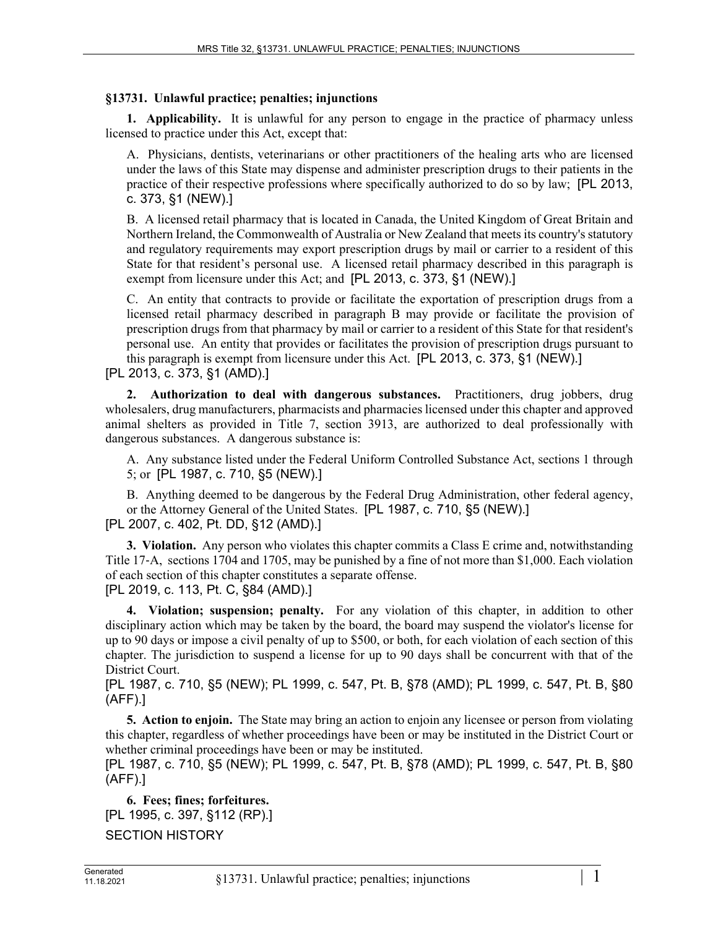## **§13731. Unlawful practice; penalties; injunctions**

**1. Applicability.** It is unlawful for any person to engage in the practice of pharmacy unless licensed to practice under this Act, except that:

A. Physicians, dentists, veterinarians or other practitioners of the healing arts who are licensed under the laws of this State may dispense and administer prescription drugs to their patients in the practice of their respective professions where specifically authorized to do so by law; [PL 2013, c. 373, §1 (NEW).]

B. A licensed retail pharmacy that is located in Canada, the United Kingdom of Great Britain and Northern Ireland, the Commonwealth of Australia or New Zealand that meets its country's statutory and regulatory requirements may export prescription drugs by mail or carrier to a resident of this State for that resident's personal use. A licensed retail pharmacy described in this paragraph is exempt from licensure under this Act; and [PL 2013, c. 373, §1 (NEW).]

C. An entity that contracts to provide or facilitate the exportation of prescription drugs from a licensed retail pharmacy described in paragraph B may provide or facilitate the provision of prescription drugs from that pharmacy by mail or carrier to a resident of this State for that resident's personal use. An entity that provides or facilitates the provision of prescription drugs pursuant to this paragraph is exempt from licensure under this Act. [PL 2013, c. 373, §1 (NEW).]

[PL 2013, c. 373, §1 (AMD).]

**2. Authorization to deal with dangerous substances.** Practitioners, drug jobbers, drug wholesalers, drug manufacturers, pharmacists and pharmacies licensed under this chapter and approved animal shelters as provided in Title 7, section 3913, are authorized to deal professionally with dangerous substances. A dangerous substance is:

A. Any substance listed under the Federal Uniform Controlled Substance Act, sections 1 through 5; or [PL 1987, c. 710, §5 (NEW).]

B. Anything deemed to be dangerous by the Federal Drug Administration, other federal agency, or the Attorney General of the United States. [PL 1987, c. 710, §5 (NEW).] [PL 2007, c. 402, Pt. DD, §12 (AMD).]

**3. Violation.** Any person who violates this chapter commits a Class E crime and, notwithstanding Title 17‑A, sections 1704 and 1705, may be punished by a fine of not more than \$1,000. Each violation of each section of this chapter constitutes a separate offense. [PL 2019, c. 113, Pt. C, §84 (AMD).]

**4. Violation; suspension; penalty.** For any violation of this chapter, in addition to other disciplinary action which may be taken by the board, the board may suspend the violator's license for up to 90 days or impose a civil penalty of up to \$500, or both, for each violation of each section of this chapter. The jurisdiction to suspend a license for up to 90 days shall be concurrent with that of the District Court.

[PL 1987, c. 710, §5 (NEW); PL 1999, c. 547, Pt. B, §78 (AMD); PL 1999, c. 547, Pt. B, §80 (AFF).]

**5. Action to enjoin.** The State may bring an action to enjoin any licensee or person from violating this chapter, regardless of whether proceedings have been or may be instituted in the District Court or whether criminal proceedings have been or may be instituted.

[PL 1987, c. 710, §5 (NEW); PL 1999, c. 547, Pt. B, §78 (AMD); PL 1999, c. 547, Pt. B, §80 (AFF).]

**6. Fees; fines; forfeitures.**  [PL 1995, c. 397, §112 (RP).] SECTION HISTORY